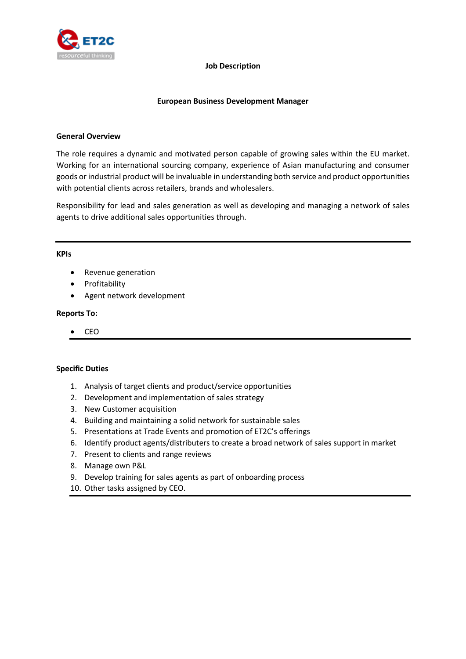

### **Job Description**

## **European Business Development Manager**

## **General Overview**

The role requires a dynamic and motivated person capable of growing sales within the EU market. Working for an international sourcing company, experience of Asian manufacturing and consumer goods or industrial product will be invaluable in understanding both service and product opportunities with potential clients across retailers, brands and wholesalers.

Responsibility for lead and sales generation as well as developing and managing a network of sales agents to drive additional sales opportunities through.

## **KPIs**

- Revenue generation
- Profitability
- Agent network development

## **Reports To:**

• CEO

# **Specific Duties**

- 1. Analysis of target clients and product/service opportunities
- 2. Development and implementation of sales strategy
- 3. New Customer acquisition
- 4. Building and maintaining a solid network for sustainable sales
- 5. Presentations at Trade Events and promotion of ET2C's offerings
- 6. Identify product agents/distributers to create a broad network of sales support in market
- 7. Present to clients and range reviews
- 8. Manage own P&L
- 9. Develop training for sales agents as part of onboarding process
- 10. Other tasks assigned by CEO.